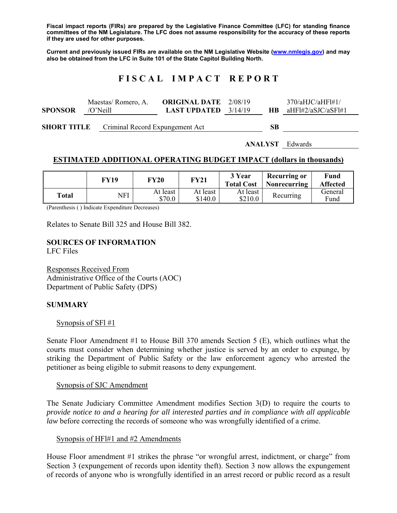**Fiscal impact reports (FIRs) are prepared by the Legislative Finance Committee (LFC) for standing finance committees of the NM Legislature. The LFC does not assume responsibility for the accuracy of these reports if they are used for other purposes.** 

**Current and previously issued FIRs are available on the NM Legislative Website (www.nmlegis.gov) and may also be obtained from the LFC in Suite 101 of the State Capitol Building North.** 

# **F I S C A L I M P A C T R E P O R T**

|                | Maestas/Romero, A.    | <b>ORIGINAL DATE</b> 2/08/19  |  | 370/aHJC/aHFl#1/        |
|----------------|-----------------------|-------------------------------|--|-------------------------|
| <b>SPONSOR</b> | $\overline{O'}$ Neill | <b>LAST UPDATED</b> $3/14/19$ |  | $HB$ aHFl#2/aSJC/aSFl#1 |
|                |                       |                               |  |                         |

**SHORT TITLE** Criminal Record Expungement Act **SB** 

**ANALYST** Edwards

# **ESTIMATED ADDITIONAL OPERATING BUDGET IMPACT (dollars in thousands)**

|       | FY19 | FY20               | FY21                | 3 Year<br><b>Total Cost</b> | Recurring or<br>Nonrecurring | Fund<br><b>Affected</b> |
|-------|------|--------------------|---------------------|-----------------------------|------------------------------|-------------------------|
| Total | NFI  | At least<br>\$70.0 | At least<br>\$140.0 | At least<br>\$210.0         | Recurring                    | General<br>Fund         |

(Parenthesis ( ) Indicate Expenditure Decreases)

Relates to Senate Bill 325 and House Bill 382.

**SOURCES OF INFORMATION**  LFC Files

Responses Received From Administrative Office of the Courts (AOC) Department of Public Safety (DPS)

#### **SUMMARY**

#### Synopsis of SF $1#1$

Senate Floor Amendment #1 to House Bill 370 amends Section 5 (E), which outlines what the courts must consider when determining whether justice is served by an order to expunge, by striking the Department of Public Safety or the law enforcement agency who arrested the petitioner as being eligible to submit reasons to deny expungement.

#### Synopsis of SJC Amendment

The Senate Judiciary Committee Amendment modifies Section 3(D) to require the courts to *provide notice to and a hearing for all interested parties and in compliance with all applicable law* before correcting the records of someone who was wrongfully identified of a crime.

#### Synopsis of HFl#1 and #2 Amendments

House Floor amendment #1 strikes the phrase "or wrongful arrest, indictment, or charge" from Section 3 (expungement of records upon identity theft). Section 3 now allows the expungement of records of anyone who is wrongfully identified in an arrest record or public record as a result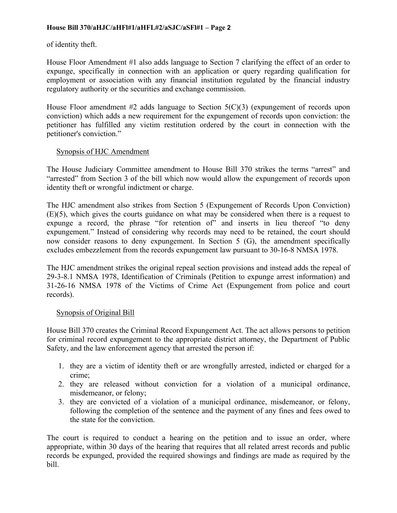of identity theft.

House Floor Amendment #1 also adds language to Section 7 clarifying the effect of an order to expunge, specifically in connection with an application or query regarding qualification for employment or association with any financial institution regulated by the financial industry regulatory authority or the securities and exchange commission.

House Floor amendment  $#2$  adds language to Section  $5(C)(3)$  (expungement of records upon conviction) which adds a new requirement for the expungement of records upon conviction: the petitioner has fulfilled any victim restitution ordered by the court in connection with the petitioner's conviction."

# Synopsis of HJC Amendment

The House Judiciary Committee amendment to House Bill 370 strikes the terms "arrest" and "arrested" from Section 3 of the bill which now would allow the expungement of records upon identity theft or wrongful indictment or charge.

The HJC amendment also strikes from Section 5 (Expungement of Records Upon Conviction) (E)(5), which gives the courts guidance on what may be considered when there is a request to expunge a record, the phrase "for retention of" and inserts in lieu thereof "to deny expungement." Instead of considering why records may need to be retained, the court should now consider reasons to deny expungement. In Section 5 (G), the amendment specifically excludes embezzlement from the records expungement law pursuant to 30-16-8 NMSA 1978.

The HJC amendment strikes the original repeal section provisions and instead adds the repeal of 29-3-8.1 NMSA 1978, Identification of Criminals (Petition to expunge arrest information) and 31-26-16 NMSA 1978 of the Victims of Crime Act (Expungement from police and court records).

# Synopsis of Original Bill

House Bill 370 creates the Criminal Record Expungement Act. The act allows persons to petition for criminal record expungement to the appropriate district attorney, the Department of Public Safety, and the law enforcement agency that arrested the person if:

- 1. they are a victim of identity theft or are wrongfully arrested, indicted or charged for a crime;
- 2. they are released without conviction for a violation of a municipal ordinance, misdemeanor, or felony;
- 3. they are convicted of a violation of a municipal ordinance, misdemeanor, or felony, following the completion of the sentence and the payment of any fines and fees owed to the state for the conviction.

The court is required to conduct a hearing on the petition and to issue an order, where appropriate, within 30 days of the hearing that requires that all related arrest records and public records be expunged, provided the required showings and findings are made as required by the bill.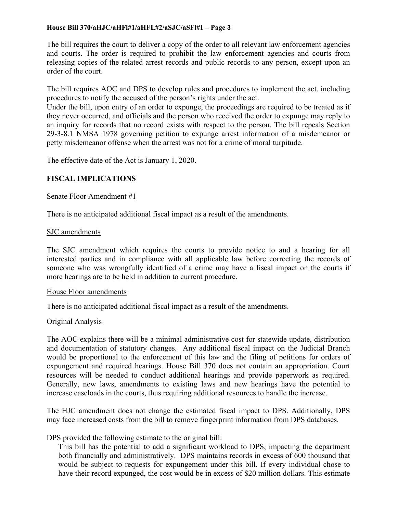The bill requires the court to deliver a copy of the order to all relevant law enforcement agencies and courts. The order is required to prohibit the law enforcement agencies and courts from releasing copies of the related arrest records and public records to any person, except upon an order of the court.

The bill requires AOC and DPS to develop rules and procedures to implement the act, including procedures to notify the accused of the person's rights under the act.

Under the bill, upon entry of an order to expunge, the proceedings are required to be treated as if they never occurred, and officials and the person who received the order to expunge may reply to an inquiry for records that no record exists with respect to the person. The bill repeals Section 29-3-8.1 NMSA 1978 governing petition to expunge arrest information of a misdemeanor or petty misdemeanor offense when the arrest was not for a crime of moral turpitude.

The effective date of the Act is January 1, 2020.

# **FISCAL IMPLICATIONS**

## Senate Floor Amendment #1

There is no anticipated additional fiscal impact as a result of the amendments.

## SJC amendments

The SJC amendment which requires the courts to provide notice to and a hearing for all interested parties and in compliance with all applicable law before correcting the records of someone who was wrongfully identified of a crime may have a fiscal impact on the courts if more hearings are to be held in addition to current procedure.

## House Floor amendments

There is no anticipated additional fiscal impact as a result of the amendments.

#### Original Analysis

The AOC explains there will be a minimal administrative cost for statewide update, distribution and documentation of statutory changes. Any additional fiscal impact on the Judicial Branch would be proportional to the enforcement of this law and the filing of petitions for orders of expungement and required hearings. House Bill 370 does not contain an appropriation. Court resources will be needed to conduct additional hearings and provide paperwork as required. Generally, new laws, amendments to existing laws and new hearings have the potential to increase caseloads in the courts, thus requiring additional resources to handle the increase.

The HJC amendment does not change the estimated fiscal impact to DPS. Additionally, DPS may face increased costs from the bill to remove fingerprint information from DPS databases.

DPS provided the following estimate to the original bill:

This bill has the potential to add a significant workload to DPS, impacting the department both financially and administratively. DPS maintains records in excess of 600 thousand that would be subject to requests for expungement under this bill. If every individual chose to have their record expunged, the cost would be in excess of \$20 million dollars. This estimate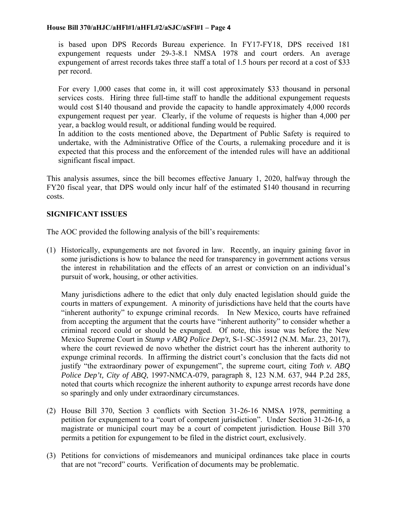is based upon DPS Records Bureau experience. In FY17-FY18, DPS received 181 expungement requests under 29-3-8.1 NMSA 1978 and court orders. An average expungement of arrest records takes three staff a total of 1.5 hours per record at a cost of \$33 per record.

For every 1,000 cases that come in, it will cost approximately \$33 thousand in personal services costs. Hiring three full-time staff to handle the additional expungement requests would cost \$140 thousand and provide the capacity to handle approximately 4,000 records expungement request per year. Clearly, if the volume of requests is higher than 4,000 per year, a backlog would result, or additional funding would be required.

In addition to the costs mentioned above, the Department of Public Safety is required to undertake, with the Administrative Office of the Courts, a rulemaking procedure and it is expected that this process and the enforcement of the intended rules will have an additional significant fiscal impact.

This analysis assumes, since the bill becomes effective January 1, 2020, halfway through the FY20 fiscal year, that DPS would only incur half of the estimated \$140 thousand in recurring costs.

# **SIGNIFICANT ISSUES**

The AOC provided the following analysis of the bill's requirements:

(1) Historically, expungements are not favored in law. Recently, an inquiry gaining favor in some jurisdictions is how to balance the need for transparency in government actions versus the interest in rehabilitation and the effects of an arrest or conviction on an individual's pursuit of work, housing, or other activities.

Many jurisdictions adhere to the edict that only duly enacted legislation should guide the courts in matters of expungement. A minority of jurisdictions have held that the courts have "inherent authority" to expunge criminal records. In New Mexico, courts have refrained from accepting the argument that the courts have "inherent authority" to consider whether a criminal record could or should be expunged. Of note, this issue was before the New Mexico Supreme Court in *Stump v ABQ Police Dep't*, S-1-SC-35912 (N.M. Mar. 23, 2017), where the court reviewed de novo whether the district court has the inherent authority to expunge criminal records. In affirming the district court's conclusion that the facts did not justify "the extraordinary power of expungement", the supreme court, citing *Toth v. ABQ Police Dep't, City of ABQ*, 1997-NMCA-079, paragraph 8, 123 N.M. 637, 944 P.2d 285, noted that courts which recognize the inherent authority to expunge arrest records have done so sparingly and only under extraordinary circumstances.

- (2) House Bill 370, Section 3 conflicts with Section 31-26-16 NMSA 1978, permitting a petition for expungement to a "court of competent jurisdiction". Under Section 31-26-16, a magistrate or municipal court may be a court of competent jurisdiction. House Bill 370 permits a petition for expungement to be filed in the district court, exclusively.
- (3) Petitions for convictions of misdemeanors and municipal ordinances take place in courts that are not "record" courts. Verification of documents may be problematic.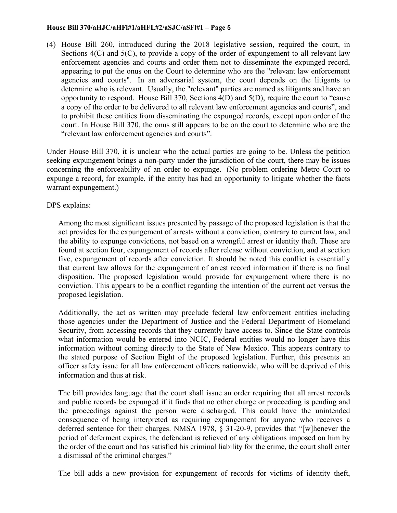(4) House Bill 260, introduced during the 2018 legislative session, required the court, in Sections  $4(C)$  and  $5(C)$ , to provide a copy of the order of expungement to all relevant law enforcement agencies and courts and order them not to disseminate the expunged record, appearing to put the onus on the Court to determine who are the "relevant law enforcement agencies and courts". In an adversarial system, the court depends on the litigants to determine who is relevant. Usually, the "relevant" parties are named as litigants and have an opportunity to respond. House Bill 370, Sections 4(D) and 5(D), require the court to "cause a copy of the order to be delivered to all relevant law enforcement agencies and courts", and to prohibit these entities from disseminating the expunged records, except upon order of the court. In House Bill 370, the onus still appears to be on the court to determine who are the "relevant law enforcement agencies and courts".

Under House Bill 370, it is unclear who the actual parties are going to be. Unless the petition seeking expungement brings a non-party under the jurisdiction of the court, there may be issues concerning the enforceability of an order to expunge. (No problem ordering Metro Court to expunge a record, for example, if the entity has had an opportunity to litigate whether the facts warrant expungement.)

DPS explains:

Among the most significant issues presented by passage of the proposed legislation is that the act provides for the expungement of arrests without a conviction, contrary to current law, and the ability to expunge convictions, not based on a wrongful arrest or identity theft. These are found at section four, expungement of records after release without conviction, and at section five, expungement of records after conviction. It should be noted this conflict is essentially that current law allows for the expungement of arrest record information if there is no final disposition. The proposed legislation would provide for expungement where there is no conviction. This appears to be a conflict regarding the intention of the current act versus the proposed legislation.

Additionally, the act as written may preclude federal law enforcement entities including those agencies under the Department of Justice and the Federal Department of Homeland Security, from accessing records that they currently have access to. Since the State controls what information would be entered into NCIC, Federal entities would no longer have this information without coming directly to the State of New Mexico. This appears contrary to the stated purpose of Section Eight of the proposed legislation. Further, this presents an officer safety issue for all law enforcement officers nationwide, who will be deprived of this information and thus at risk.

The bill provides language that the court shall issue an order requiring that all arrest records and public records be expunged if it finds that no other charge or proceeding is pending and the proceedings against the person were discharged. This could have the unintended consequence of being interpreted as requiring expungement for anyone who receives a deferred sentence for their charges. NMSA 1978, § 31-20-9, provides that "[w]henever the period of deferment expires, the defendant is relieved of any obligations imposed on him by the order of the court and has satisfied his criminal liability for the crime, the court shall enter a dismissal of the criminal charges."

The bill adds a new provision for expungement of records for victims of identity theft,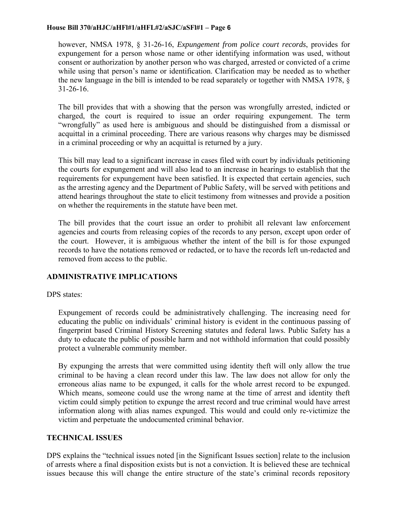however, NMSA 1978, § 31-26-16, *Expungement from police court records*, provides for expungement for a person whose name or other identifying information was used, without consent or authorization by another person who was charged, arrested or convicted of a crime while using that person's name or identification. Clarification may be needed as to whether the new language in the bill is intended to be read separately or together with NMSA 1978, § 31-26-16.

The bill provides that with a showing that the person was wrongfully arrested, indicted or charged, the court is required to issue an order requiring expungement. The term "wrongfully" as used here is ambiguous and should be distinguished from a dismissal or acquittal in a criminal proceeding. There are various reasons why charges may be dismissed in a criminal proceeding or why an acquittal is returned by a jury.

This bill may lead to a significant increase in cases filed with court by individuals petitioning the courts for expungement and will also lead to an increase in hearings to establish that the requirements for expungement have been satisfied. It is expected that certain agencies, such as the arresting agency and the Department of Public Safety, will be served with petitions and attend hearings throughout the state to elicit testimony from witnesses and provide a position on whether the requirements in the statute have been met.

The bill provides that the court issue an order to prohibit all relevant law enforcement agencies and courts from releasing copies of the records to any person, except upon order of the court. However, it is ambiguous whether the intent of the bill is for those expunged records to have the notations removed or redacted, or to have the records left un-redacted and removed from access to the public.

# **ADMINISTRATIVE IMPLICATIONS**

# DPS states:

Expungement of records could be administratively challenging. The increasing need for educating the public on individuals' criminal history is evident in the continuous passing of fingerprint based Criminal History Screening statutes and federal laws. Public Safety has a duty to educate the public of possible harm and not withhold information that could possibly protect a vulnerable community member.

By expunging the arrests that were committed using identity theft will only allow the true criminal to be having a clean record under this law. The law does not allow for only the erroneous alias name to be expunged, it calls for the whole arrest record to be expunged. Which means, someone could use the wrong name at the time of arrest and identity theft victim could simply petition to expunge the arrest record and true criminal would have arrest information along with alias names expunged. This would and could only re-victimize the victim and perpetuate the undocumented criminal behavior.

# **TECHNICAL ISSUES**

DPS explains the "technical issues noted [in the Significant Issues section] relate to the inclusion of arrests where a final disposition exists but is not a conviction. It is believed these are technical issues because this will change the entire structure of the state's criminal records repository